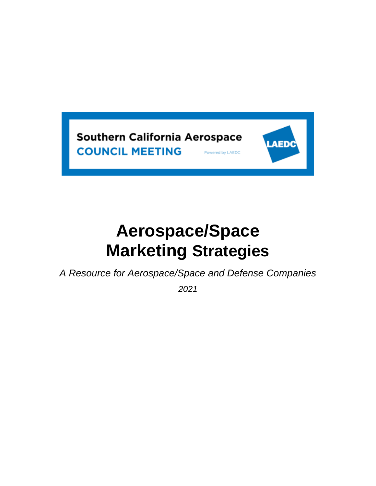

# **Aerospace/Space Marketing Strategies**

*A Resource for Aerospace/Space and Defense Companies*

*2021*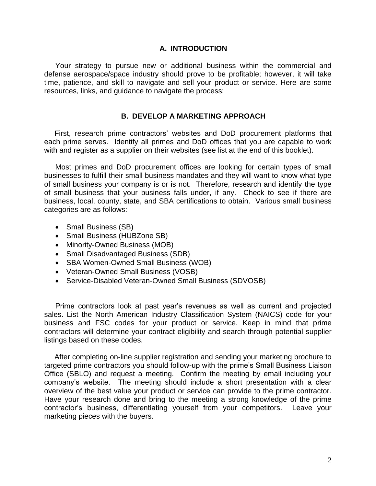#### **A. INTRODUCTION**

Your strategy to pursue new or additional business within the commercial and defense aerospace/space industry should prove to be profitable; however, it will take time, patience, and skill to navigate and sell your product or service. Here are some resources, links, and guidance to navigate the process:

#### **B. DEVELOP A MARKETING APPROACH**

 First, research prime contractors' websites and DoD procurement platforms that each prime serves. Identify all primes and DoD offices that you are capable to work with and register as a supplier on their websites (see list at the end of this booklet).

Most primes and DoD procurement offices are looking for certain types of small businesses to fulfill their small business mandates and they will want to know what type of small business your company is or is not. Therefore, research and identify the type of small business that your business falls under, if any. Check to see if there are business, local, county, state, and SBA certifications to obtain. Various small business categories are as follows:

- Small Business (SB)
- Small Business (HUBZone SB)
- Minority-Owned Business (MOB)
- Small Disadvantaged Business (SDB)
- SBA Women-Owned Small Business (WOB)
- Veteran-Owned Small Business (VOSB)
- Service-Disabled Veteran-Owned Small Business (SDVOSB)

Prime contractors look at past year's revenues as well as current and projected sales. List the North American Industry Classification System (NAICS) code for your business and FSC codes for your product or service. Keep in mind that prime contractors will determine your contract eligibility and search through potential supplier listings based on these codes.

 After completing on-line supplier registration and sending your marketing brochure to targeted prime contractors you should follow-up with the prime's Small Business Liaison Office (SBLO) and request a meeting. Confirm the meeting by email including your company's website. The meeting should include a short presentation with a clear overview of the best value your product or service can provide to the prime contractor. Have your research done and bring to the meeting a strong knowledge of the prime contractor's business, differentiating yourself from your competitors. Leave your marketing pieces with the buyers.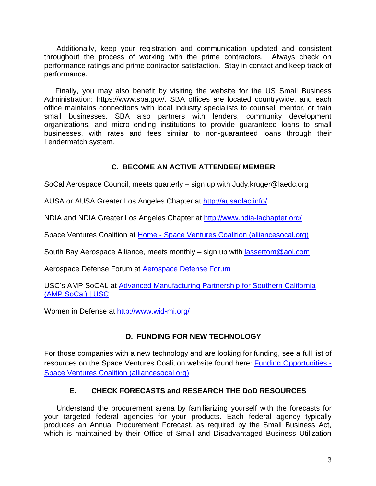Additionally, keep your registration and communication updated and consistent throughout the process of working with the prime contractors. Always check on performance ratings and prime contractor satisfaction. Stay in contact and keep track of performance.

Finally, you may also benefit by visiting the website for the US Small Business Administration: [https://www.sba.gov/.](https://www.sba.gov/) SBA offices are located countrywide, and each office maintains connections with local industry specialists to counsel, mentor, or train small businesses. SBA also partners with lenders, community development organizations, and micro-lending institutions to provide guaranteed loans to small businesses, with rates and fees similar to non-guaranteed loans through their Lendermatch system.

## **C. BECOME AN ACTIVE ATTENDEE/ MEMBER**

SoCal Aerospace Council, meets quarterly – sign up with Judy.kruger@laedc.org

AUSA or AUSA Greater Los Angeles Chapter at<http://ausaglac.info/>

NDIA and NDIA Greater Los Angeles Chapter at<http://www.ndia-lachapter.org/>

Space Ventures Coalition at Home - [Space Ventures Coalition \(alliancesocal.org\)](https://www.alliancesocal.org/spaceventurescoalition/home)

South Bay Aerospace Alliance, meets monthly – sign up with [lassertom@aol.com](mailto:lassertom@aol.com)

Aerospace Defense Forum at **Aerospace Defense Forum** 

USC's AMP SoCAL at [Advanced Manufacturing Partnership for Southern California](https://ampsocal.usc.edu/)  [\(AMP SoCal\) | USC](https://ampsocal.usc.edu/)

Women in Defense at<http://www.wid-mi.org/>

## **D. FUNDING FOR NEW TECHNOLOGY**

For those companies with a new technology and are looking for funding, see a full list of resources on the Space Ventures Coalition website found here: [Funding Opportunities -](https://www.alliancesocal.org/spaceventurescoalition/funding-opportunities) [Space Ventures Coalition \(alliancesocal.org\)](https://www.alliancesocal.org/spaceventurescoalition/funding-opportunities)

## **E. CHECK FORECASTS and RESEARCH THE DoD RESOURCES**

 Understand the procurement arena by familiarizing yourself with the forecasts for your targeted federal agencies for your products. Each federal agency typically produces an Annual Procurement Forecast, as required by the Small Business Act, which is maintained by their Office of Small and Disadvantaged Business Utilization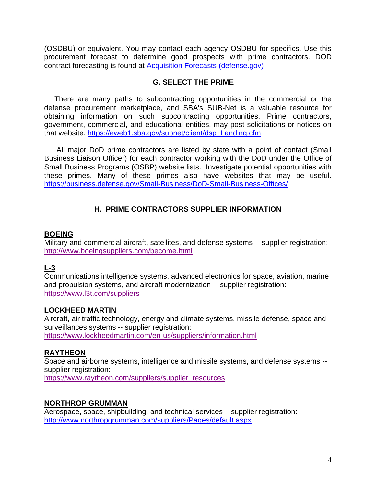(OSDBU) or equivalent. You may contact each agency OSDBU for specifics. Use this procurement forecast to determine good prospects with prime contractors. DOD contract forecasting is found at [Acquisition Forecasts \(defense.gov\)](https://business.defense.gov/Small-Business/Acquisition-Forecasts/)

#### **G. SELECT THE PRIME**

 There are many paths to subcontracting opportunities in the commercial or the defense procurement marketplace, and SBA's SUB-Net is a valuable resource for obtaining information on such subcontracting opportunities. Prime contractors, government, commercial, and educational entities, may post solicitations or notices on that website. [https://eweb1.sba.gov/subnet/client/dsp\\_Landing.cfm](https://eweb1.sba.gov/subnet/client/dsp_Landing.cfm)

 All major DoD prime contractors are listed by state with a point of contact (Small Business Liaison Officer) for each contractor working with the DoD under the Office of Small Business Programs (OSBP) website lists. Investigate potential opportunities with these primes. Many of these primes also have websites that may be useful. <https://business.defense.gov/Small-Business/DoD-Small-Business-Offices/>

## **H. PRIME CONTRACTORS SUPPLIER INFORMATION**

#### **BOEING**

Military and commercial aircraft, satellites, and defense systems -- supplier registration: <http://www.boeingsuppliers.com/become.html>

## **L-3**

Communications intelligence systems, advanced electronics for space, aviation, marine and propulsion systems, and aircraft modernization -- supplier registration: <https://www.l3t.com/suppliers>

#### **LOCKHEED MARTIN**

Aircraft, air traffic technology, energy and climate systems, missile defense, space and surveillances systems -- supplier registration: <https://www.lockheedmartin.com/en-us/suppliers/information.html>

## **RAYTHEON**

Space and airborne systems, intelligence and missile systems, and defense systems - supplier registration:

[https://www.raytheon.com/suppliers/supplier\\_resources](https://www.raytheon.com/suppliers/supplier_resources)

#### **NORTHROP GRUMMAN**

Aerospace, space, shipbuilding, and technical services – supplier registration: <http://www.northropgrumman.com/suppliers/Pages/default.aspx>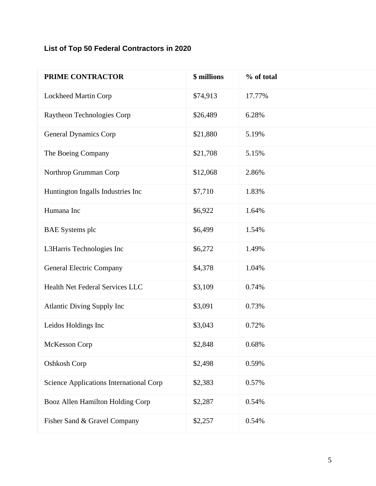## **List of Top 50 Federal Contractors in 2020**

| PRIME CONTRACTOR                        | \$ millions | % of total |
|-----------------------------------------|-------------|------------|
| Lockheed Martin Corp                    | \$74,913    | 17.77%     |
| Raytheon Technologies Corp              | \$26,489    | 6.28%      |
| <b>General Dynamics Corp</b>            | \$21,880    | 5.19%      |
| The Boeing Company                      | \$21,708    | 5.15%      |
| Northrop Grumman Corp                   | \$12,068    | 2.86%      |
| Huntington Ingalls Industries Inc       | \$7,710     | 1.83%      |
| Humana Inc                              | \$6,922     | 1.64%      |
| <b>BAE</b> Systems plc                  | \$6,499     | 1.54%      |
| L3Harris Technologies Inc               | \$6,272     | 1.49%      |
| <b>General Electric Company</b>         | \$4,378     | 1.04%      |
| Health Net Federal Services LLC         | \$3,109     | 0.74%      |
| <b>Atlantic Diving Supply Inc</b>       | \$3,091     | 0.73%      |
| Leidos Holdings Inc                     | \$3,043     | 0.72%      |
| McKesson Corp                           | \$2,848     | 0.68%      |
| Oshkosh Corp                            | \$2,498     | 0.59%      |
| Science Applications International Corp | \$2,383     | 0.57%      |
| Booz Allen Hamilton Holding Corp        | \$2,287     | 0.54%      |
| Fisher Sand & Gravel Company            | \$2,257     | 0.54%      |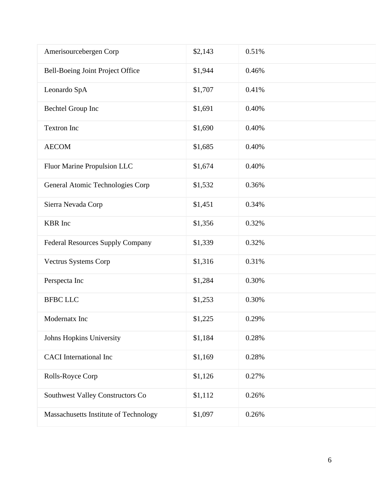| Amerisourcebergen Corp                | \$2,143 | 0.51% |
|---------------------------------------|---------|-------|
| Bell-Boeing Joint Project Office      | \$1,944 | 0.46% |
| Leonardo SpA                          | \$1,707 | 0.41% |
| Bechtel Group Inc                     | \$1,691 | 0.40% |
| Textron Inc                           | \$1,690 | 0.40% |
| <b>AECOM</b>                          | \$1,685 | 0.40% |
| Fluor Marine Propulsion LLC           | \$1,674 | 0.40% |
| General Atomic Technologies Corp      | \$1,532 | 0.36% |
| Sierra Nevada Corp                    | \$1,451 | 0.34% |
| <b>KBR</b> Inc                        | \$1,356 | 0.32% |
| Federal Resources Supply Company      | \$1,339 | 0.32% |
| Vectrus Systems Corp                  | \$1,316 | 0.31% |
| Perspecta Inc                         | \$1,284 | 0.30% |
| <b>BFBC LLC</b>                       | \$1,253 | 0.30% |
| Modernatx Inc                         | \$1,225 | 0.29% |
| Johns Hopkins University              | \$1,184 | 0.28% |
| <b>CACI</b> International Inc         | \$1,169 | 0.28% |
| Rolls-Royce Corp                      | \$1,126 | 0.27% |
| Southwest Valley Constructors Co      | \$1,112 | 0.26% |
| Massachusetts Institute of Technology | \$1,097 | 0.26% |